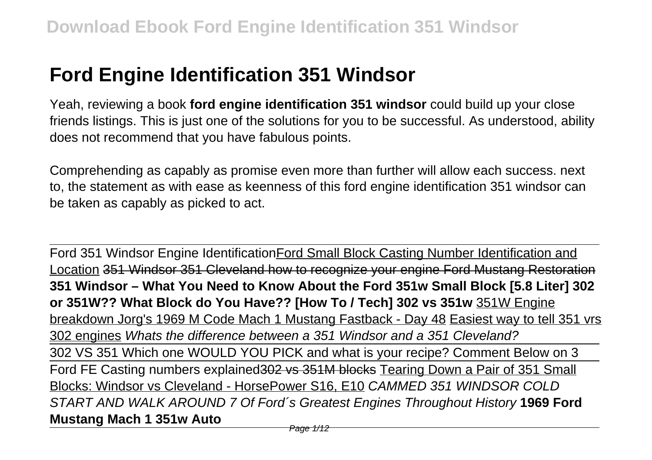## **Ford Engine Identification 351 Windsor**

Yeah, reviewing a book **ford engine identification 351 windsor** could build up your close friends listings. This is just one of the solutions for you to be successful. As understood, ability does not recommend that you have fabulous points.

Comprehending as capably as promise even more than further will allow each success. next to, the statement as with ease as keenness of this ford engine identification 351 windsor can be taken as capably as picked to act.

Ford 351 Windsor Engine IdentificationFord Small Block Casting Number Identification and Location 351 Windsor 351 Cleveland how to recognize your engine Ford Mustang Restoration **351 Windsor – What You Need to Know About the Ford 351w Small Block [5.8 Liter] 302 or 351W?? What Block do You Have?? [How To / Tech] 302 vs 351w** 351W Engine breakdown Jorg's 1969 M Code Mach 1 Mustang Fastback - Day 48 Easiest way to tell 351 vrs 302 engines Whats the difference between a 351 Windsor and a 351 Cleveland? 302 VS 351 Which one WOULD YOU PICK and what is your recipe? Comment Below on 3 Ford FE Casting numbers explained 302 vs 351M blocks Tearing Down a Pair of 351 Small Blocks: Windsor vs Cleveland - HorsePower S16, E10 CAMMED 351 WINDSOR COLD START AND WALK AROUND 7 Of Ford´s Greatest Engines Throughout History **1969 Ford Mustang Mach 1 351w Auto**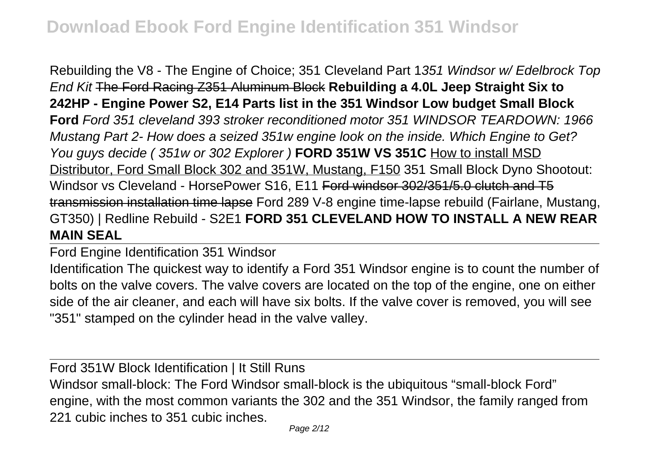Rebuilding the V8 - The Engine of Choice; 351 Cleveland Part 1351 Windsor w/ Edelbrock Top End Kit The Ford Racing Z351 Aluminum Block **Rebuilding a 4.0L Jeep Straight Six to 242HP - Engine Power S2, E14 Parts list in the 351 Windsor Low budget Small Block Ford** Ford 351 cleveland 393 stroker reconditioned motor 351 WINDSOR TEARDOWN: 1966 Mustang Part 2- How does a seized 351w engine look on the inside. Which Engine to Get? You guys decide ( 351w or 302 Explorer ) **FORD 351W VS 351C** How to install MSD Distributor, Ford Small Block 302 and 351W, Mustang, F150 351 Small Block Dyno Shootout: Windsor vs Cleveland - HorsePower S16, E11 Ford windsor 302/351/5.0 clutch and T5 transmission installation time lapse Ford 289 V-8 engine time-lapse rebuild (Fairlane, Mustang, GT350) | Redline Rebuild - S2E1 **FORD 351 CLEVELAND HOW TO INSTALL A NEW REAR MAIN SEAL**

Ford Engine Identification 351 Windsor

Identification The quickest way to identify a Ford 351 Windsor engine is to count the number of bolts on the valve covers. The valve covers are located on the top of the engine, one on either side of the air cleaner, and each will have six bolts. If the valve cover is removed, you will see "351" stamped on the cylinder head in the valve valley.

Ford 351W Block Identification | It Still Runs Windsor small-block: The Ford Windsor small-block is the ubiquitous "small-block Ford" engine, with the most common variants the 302 and the 351 Windsor, the family ranged from 221 cubic inches to 351 cubic inches.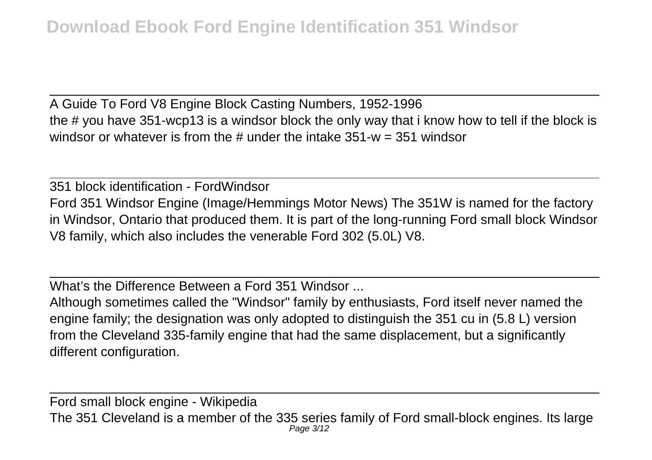A Guide To Ford V8 Engine Block Casting Numbers, 1952-1996 the # you have 351-wcp13 is a windsor block the only way that i know how to tell if the block is windsor or whatever is from the  $\#$  under the intake 351-w = 351 windsor

351 block identification - FordWindsor Ford 351 Windsor Engine (Image/Hemmings Motor News) The 351W is named for the factory in Windsor, Ontario that produced them. It is part of the long-running Ford small block Windsor V8 family, which also includes the venerable Ford 302 (5.0L) V8.

What's the Difference Between a Ford 351 Windsor

Although sometimes called the "Windsor" family by enthusiasts, Ford itself never named the engine family; the designation was only adopted to distinguish the 351 cu in (5.8 L) version from the Cleveland 335-family engine that had the same displacement, but a significantly different configuration.

Ford small block engine - Wikipedia The 351 Cleveland is a member of the 335 series family of Ford small-block engines. Its large Page 3/12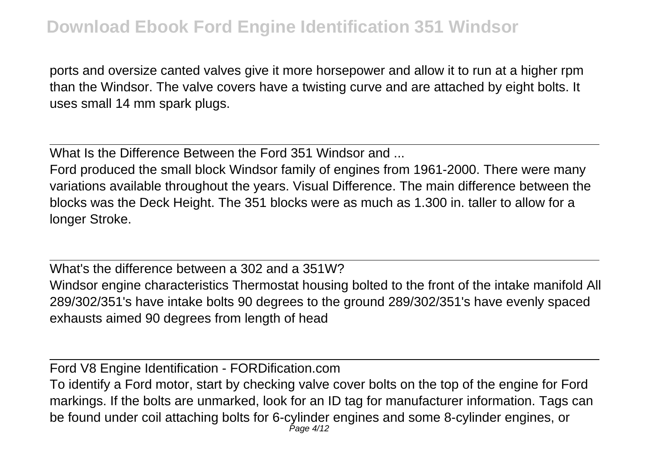## **Download Ebook Ford Engine Identification 351 Windsor**

ports and oversize canted valves give it more horsepower and allow it to run at a higher rpm than the Windsor. The valve covers have a twisting curve and are attached by eight bolts. It uses small 14 mm spark plugs.

What Is the Difference Between the Ford 351 Windsor and

Ford produced the small block Windsor family of engines from 1961-2000. There were many variations available throughout the years. Visual Difference. The main difference between the blocks was the Deck Height. The 351 blocks were as much as 1.300 in. taller to allow for a longer Stroke.

What's the difference between a 302 and a 351W? Windsor engine characteristics Thermostat housing bolted to the front of the intake manifold All 289/302/351's have intake bolts 90 degrees to the ground 289/302/351's have evenly spaced exhausts aimed 90 degrees from length of head

Ford V8 Engine Identification - FORDification.com

To identify a Ford motor, start by checking valve cover bolts on the top of the engine for Ford markings. If the bolts are unmarked, look for an ID tag for manufacturer information. Tags can be found under coil attaching bolts for 6-cylinder engines and some 8-cylinder engines, or Page 4/12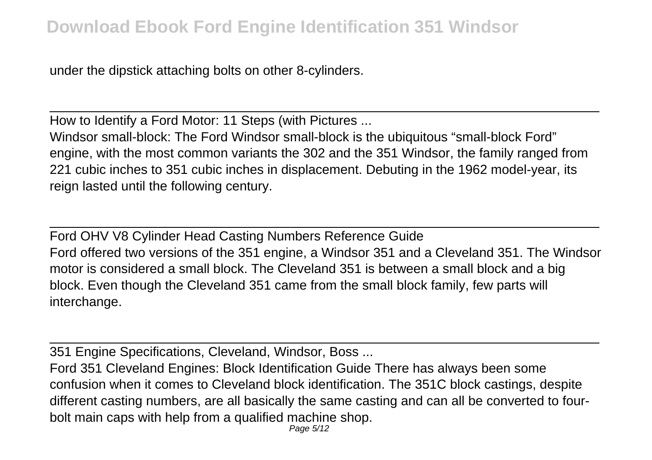under the dipstick attaching bolts on other 8-cylinders.

How to Identify a Ford Motor: 11 Steps (with Pictures ...

Windsor small-block: The Ford Windsor small-block is the ubiquitous "small-block Ford" engine, with the most common variants the 302 and the 351 Windsor, the family ranged from 221 cubic inches to 351 cubic inches in displacement. Debuting in the 1962 model-year, its reign lasted until the following century.

Ford OHV V8 Cylinder Head Casting Numbers Reference Guide Ford offered two versions of the 351 engine, a Windsor 351 and a Cleveland 351. The Windsor motor is considered a small block. The Cleveland 351 is between a small block and a big block. Even though the Cleveland 351 came from the small block family, few parts will interchange.

351 Engine Specifications, Cleveland, Windsor, Boss ...

Ford 351 Cleveland Engines: Block Identification Guide There has always been some confusion when it comes to Cleveland block identification. The 351C block castings, despite different casting numbers, are all basically the same casting and can all be converted to fourbolt main caps with help from a qualified machine shop.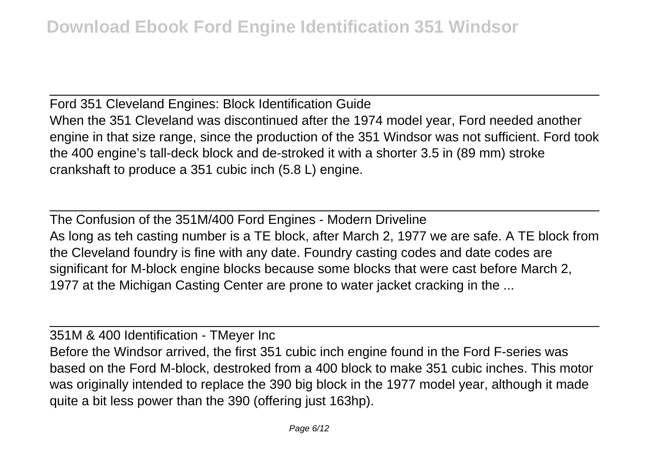Ford 351 Cleveland Engines: Block Identification Guide When the 351 Cleveland was discontinued after the 1974 model year, Ford needed another engine in that size range, since the production of the 351 Windsor was not sufficient. Ford took the 400 engine's tall-deck block and de-stroked it with a shorter 3.5 in (89 mm) stroke crankshaft to produce a 351 cubic inch (5.8 L) engine.

The Confusion of the 351M/400 Ford Engines - Modern Driveline As long as teh casting number is a TE block, after March 2, 1977 we are safe. A TE block from the Cleveland foundry is fine with any date. Foundry casting codes and date codes are significant for M-block engine blocks because some blocks that were cast before March 2, 1977 at the Michigan Casting Center are prone to water jacket cracking in the ...

351M & 400 Identification - TMeyer Inc Before the Windsor arrived, the first 351 cubic inch engine found in the Ford F-series was based on the Ford M-block, destroked from a 400 block to make 351 cubic inches. This motor was originally intended to replace the 390 big block in the 1977 model year, although it made quite a bit less power than the 390 (offering just 163hp).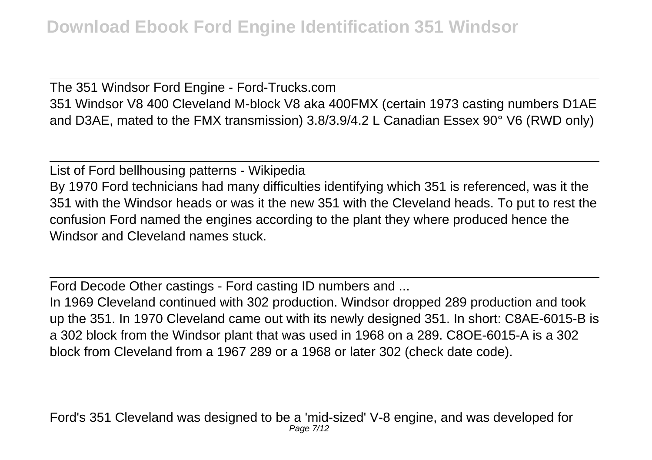The 351 Windsor Ford Engine - Ford-Trucks.com 351 Windsor V8 400 Cleveland M-block V8 aka 400FMX (certain 1973 casting numbers D1AE and D3AE, mated to the FMX transmission) 3.8/3.9/4.2 L Canadian Essex 90° V6 (RWD only)

List of Ford bellhousing patterns - Wikipedia By 1970 Ford technicians had many difficulties identifying which 351 is referenced, was it the 351 with the Windsor heads or was it the new 351 with the Cleveland heads. To put to rest the confusion Ford named the engines according to the plant they where produced hence the Windsor and Cleveland names stuck.

Ford Decode Other castings - Ford casting ID numbers and ...

In 1969 Cleveland continued with 302 production. Windsor dropped 289 production and took up the 351. In 1970 Cleveland came out with its newly designed 351. In short: C8AE-6015-B is a 302 block from the Windsor plant that was used in 1968 on a 289. C8OE-6015-A is a 302 block from Cleveland from a 1967 289 or a 1968 or later 302 (check date code).

Ford's 351 Cleveland was designed to be a 'mid-sized' V-8 engine, and was developed for Page 7/12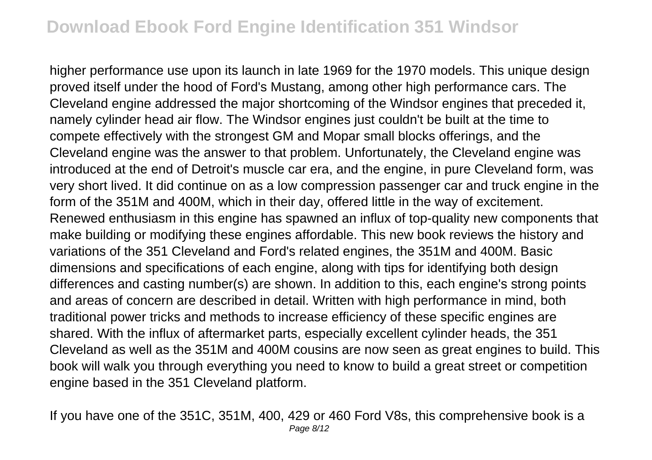## **Download Ebook Ford Engine Identification 351 Windsor**

higher performance use upon its launch in late 1969 for the 1970 models. This unique design proved itself under the hood of Ford's Mustang, among other high performance cars. The Cleveland engine addressed the major shortcoming of the Windsor engines that preceded it, namely cylinder head air flow. The Windsor engines just couldn't be built at the time to compete effectively with the strongest GM and Mopar small blocks offerings, and the Cleveland engine was the answer to that problem. Unfortunately, the Cleveland engine was introduced at the end of Detroit's muscle car era, and the engine, in pure Cleveland form, was very short lived. It did continue on as a low compression passenger car and truck engine in the form of the 351M and 400M, which in their day, offered little in the way of excitement. Renewed enthusiasm in this engine has spawned an influx of top-quality new components that make building or modifying these engines affordable. This new book reviews the history and variations of the 351 Cleveland and Ford's related engines, the 351M and 400M. Basic dimensions and specifications of each engine, along with tips for identifying both design differences and casting number(s) are shown. In addition to this, each engine's strong points and areas of concern are described in detail. Written with high performance in mind, both traditional power tricks and methods to increase efficiency of these specific engines are shared. With the influx of aftermarket parts, especially excellent cylinder heads, the 351 Cleveland as well as the 351M and 400M cousins are now seen as great engines to build. This book will walk you through everything you need to know to build a great street or competition engine based in the 351 Cleveland platform.

If you have one of the 351C, 351M, 400, 429 or 460 Ford V8s, this comprehensive book is a Page 8/12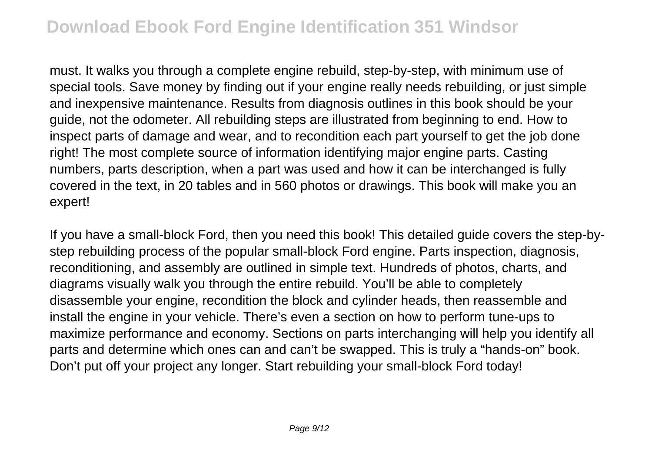must. It walks you through a complete engine rebuild, step-by-step, with minimum use of special tools. Save money by finding out if your engine really needs rebuilding, or just simple and inexpensive maintenance. Results from diagnosis outlines in this book should be your guide, not the odometer. All rebuilding steps are illustrated from beginning to end. How to inspect parts of damage and wear, and to recondition each part yourself to get the job done right! The most complete source of information identifying major engine parts. Casting numbers, parts description, when a part was used and how it can be interchanged is fully covered in the text, in 20 tables and in 560 photos or drawings. This book will make you an expert!

If you have a small-block Ford, then you need this book! This detailed guide covers the step-bystep rebuilding process of the popular small-block Ford engine. Parts inspection, diagnosis, reconditioning, and assembly are outlined in simple text. Hundreds of photos, charts, and diagrams visually walk you through the entire rebuild. You'll be able to completely disassemble your engine, recondition the block and cylinder heads, then reassemble and install the engine in your vehicle. There's even a section on how to perform tune-ups to maximize performance and economy. Sections on parts interchanging will help you identify all parts and determine which ones can and can't be swapped. This is truly a "hands-on" book. Don't put off your project any longer. Start rebuilding your small-block Ford today!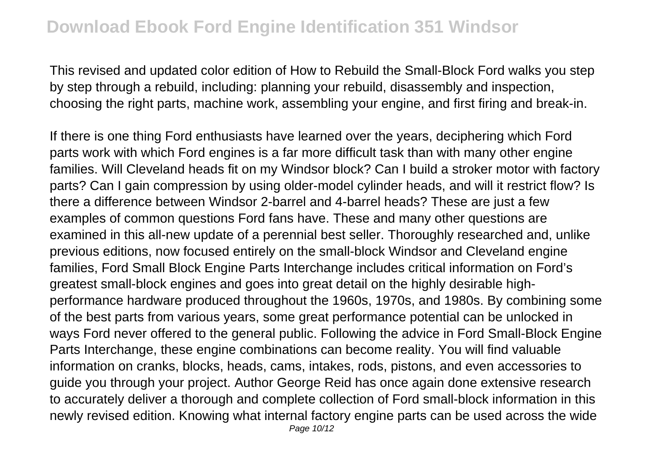## **Download Ebook Ford Engine Identification 351 Windsor**

This revised and updated color edition of How to Rebuild the Small-Block Ford walks you step by step through a rebuild, including: planning your rebuild, disassembly and inspection, choosing the right parts, machine work, assembling your engine, and first firing and break-in.

If there is one thing Ford enthusiasts have learned over the years, deciphering which Ford parts work with which Ford engines is a far more difficult task than with many other engine families. Will Cleveland heads fit on my Windsor block? Can I build a stroker motor with factory parts? Can I gain compression by using older-model cylinder heads, and will it restrict flow? Is there a difference between Windsor 2-barrel and 4-barrel heads? These are just a few examples of common questions Ford fans have. These and many other questions are examined in this all-new update of a perennial best seller. Thoroughly researched and, unlike previous editions, now focused entirely on the small-block Windsor and Cleveland engine families, Ford Small Block Engine Parts Interchange includes critical information on Ford's greatest small-block engines and goes into great detail on the highly desirable highperformance hardware produced throughout the 1960s, 1970s, and 1980s. By combining some of the best parts from various years, some great performance potential can be unlocked in ways Ford never offered to the general public. Following the advice in Ford Small-Block Engine Parts Interchange, these engine combinations can become reality. You will find valuable information on cranks, blocks, heads, cams, intakes, rods, pistons, and even accessories to guide you through your project. Author George Reid has once again done extensive research to accurately deliver a thorough and complete collection of Ford small-block information in this newly revised edition. Knowing what internal factory engine parts can be used across the wide Page 10/12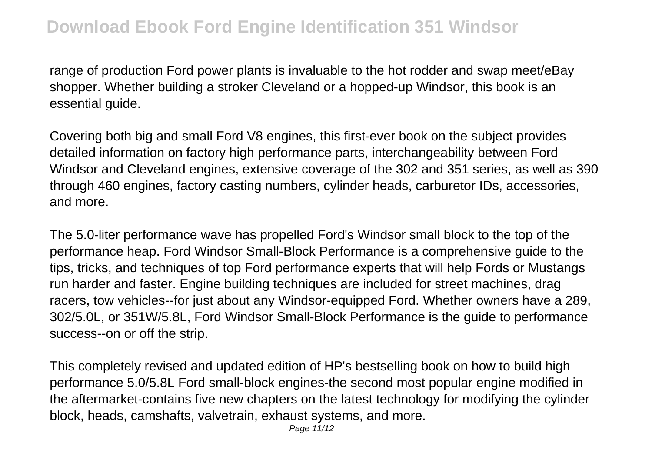range of production Ford power plants is invaluable to the hot rodder and swap meet/eBay shopper. Whether building a stroker Cleveland or a hopped-up Windsor, this book is an essential guide.

Covering both big and small Ford V8 engines, this first-ever book on the subject provides detailed information on factory high performance parts, interchangeability between Ford Windsor and Cleveland engines, extensive coverage of the 302 and 351 series, as well as 390 through 460 engines, factory casting numbers, cylinder heads, carburetor IDs, accessories, and more.

The 5.0-liter performance wave has propelled Ford's Windsor small block to the top of the performance heap. Ford Windsor Small-Block Performance is a comprehensive guide to the tips, tricks, and techniques of top Ford performance experts that will help Fords or Mustangs run harder and faster. Engine building techniques are included for street machines, drag racers, tow vehicles--for just about any Windsor-equipped Ford. Whether owners have a 289, 302/5.0L, or 351W/5.8L, Ford Windsor Small-Block Performance is the guide to performance success--on or off the strip.

This completely revised and updated edition of HP's bestselling book on how to build high performance 5.0/5.8L Ford small-block engines-the second most popular engine modified in the aftermarket-contains five new chapters on the latest technology for modifying the cylinder block, heads, camshafts, valvetrain, exhaust systems, and more.